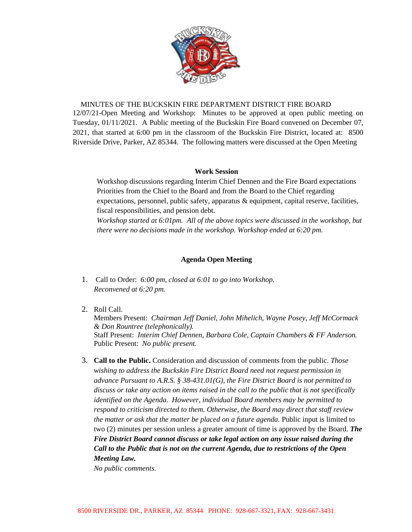

#### MINUTES OF THE BUCKSKIN FIRE DEPARTMENT DISTRICT FIRE BOARD

12/07/21-Open Meeting and Workshop: Minutes to be approved at open public meeting on Tuesday, 01/11/2021. A Public meeting of the Buckskin Fire Board convened on December 07, 2021, that started at 6:00 pm in the classroom of the Buckskin Fire District, located at: 8500 Riverside Drive, Parker, AZ 85344. The following matters were discussed at the Open Meeting

### **Work Session**

Workshop discussions regarding Interim Chief Dennen and the Fire Board expectations Priorities from the Chief to the Board and from the Board to the Chief regarding expectations, personnel, public safety, apparatus & equipment, capital reserve, facilities, fiscal responsibilities, and pension debt.

*Workshop started at 6:01pm. All of the above topics were discussed in the workshop, but there were no decisions made in the workshop. Workshop ended at 6:20 pm.* 

### **Agenda Open Meeting**

- 1. Call to Order: *6:00 pm, closed at 6:01 to go into Workshop. Reconvened at 6:20 pm.*
- 2. Roll Call.

Members Present: *Chairman Jeff Daniel, John Mihelich, Wayne Posey, Jeff McCormack & Don Rountree (telephonically).* Staff Present: *Interim Chief Dennen, Barbara Cole, Captain Chambers & FF Anderson.* Public Present: *No public present.*

3. **Call to the Public.** Consideration and discussion of comments from the public. *Those wishing to address the Buckskin Fire District Board need not request permission in advance Pursuant to A.R.S. § 38-431.01(G), the Fire District Board is not permitted to discuss or take any action on items raised in the call to the public that is not specifically identified on the Agenda. However, individual Board members may be permitted to respond to criticism directed to them. Otherwise, the Board may direct that staff review the matter or ask that the matter be placed on a future agenda.* Public input is limited to two (2) minutes per session unless a greater amount of time is approved by the Board. *The Fire District Board cannot discuss or take legal action on any issue raised during the Call to the Public that is not on the current Agenda, due to restrictions of the Open Meeting Law.*

*No public comments.*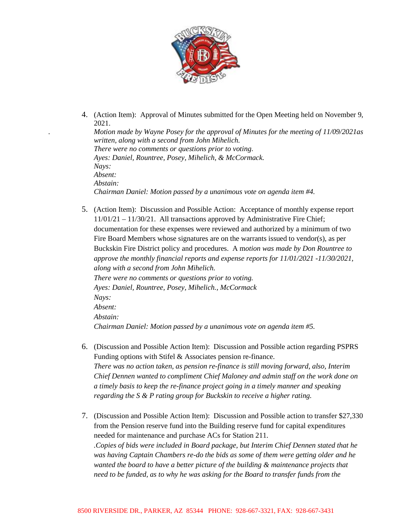

4. (Action Item): Approval of Minutes submitted for the Open Meeting held on November 9, 2021. *. Motion made by Wayne Posey for the approval of Minutes for the meeting of 11/09/2021as written, along with a second from John Mihelich. There were no comments or questions prior to voting*. *Ayes: Daniel, Rountree, Posey, Mihelich, & McCormack. Nays: Absent: Abstain:* 

*Chairman Daniel: Motion passed by a unanimous vote on agenda item #4.*

- 5. (Action Item): Discussion and Possible Action: Acceptance of monthly expense report 11/01/21 – 11/30/21. All transactions approved by Administrative Fire Chief; documentation for these expenses were reviewed and authorized by a minimum of two Fire Board Members whose signatures are on the warrants issued to vendor(s), as per Buckskin Fire District policy and procedures. A m*otion was made by Don Rountree to approve the monthly financial reports and expense reports for 11/01/2021 -11/30/2021, along with a second from John Mihelich. There were no comments or questions prior to voting. Ayes: Daniel, Rountree, Posey, Mihelich., McCormack Nays: Absent: Abstain: Chairman Daniel: Motion passed by a unanimous vote on agenda item #5.*
- 6. (Discussion and Possible Action Item): Discussion and Possible action regarding PSPRS Funding options with Stifel & Associates pension re-finance. *There was no action taken, as pension re-finance is still moving forward, also, Interim Chief Dennen wanted to compliment Chief Maloney and admin staff on the work done on a timely basis to keep the re-finance project going in a timely manner and speaking regarding the S & P rating group for Buckskin to receive a higher rating.*
- 7. (Discussion and Possible Action Item): Discussion and Possible action to transfer \$27,330 from the Pension reserve fund into the Building reserve fund for capital expenditures needed for maintenance and purchase ACs for Station 211. *.Copies of bids were included in Board package, but Interim Chief Dennen stated that he was having Captain Chambers re-do the bids as some of them were getting older and he wanted the board to have a better picture of the building & maintenance projects that need to be funded, as to why he was asking for the Board to transfer funds from the*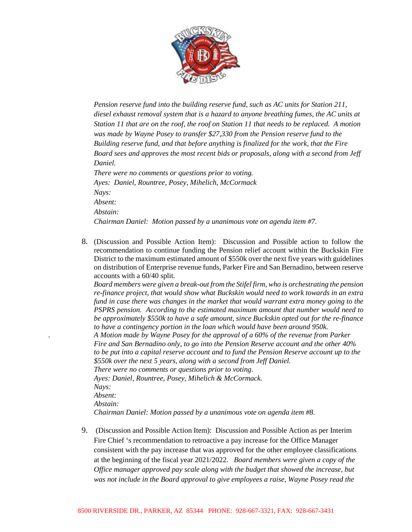

*Pension reserve fund into the building reserve fund, such as AC units for Station 211, diesel exhaust removal system that is a hazard to anyone breathing fumes, the AC units at Station 11 that are on the roof, the roof on Station 11 that needs to be replaced. A motion was made by Wayne Posey to transfer \$27,330 from the Pension reserve fund to the Building reserve fund, and that before anything is finalized for the work, that the Fire Board sees and approves the most recent bids or proposals, along with a second from Jeff Daniel. There were no comments or questions prior to voting. Ayes: Daniel, Rountree, Posey, Mihelich, McCormack Nays: Absent:* 

*Abstain:*

*Chairman Daniel: Motion passed by a unanimous vote on agenda item #7.*

8. (Discussion and Possible Action Item): Discussion and Possible action to follow the recommendation to continue funding the Pension relief account within the Buckskin Fire District to the maximum estimated amount of \$550k over the next five years with guidelines on distribution of Enterprise revenue funds, Parker Fire and San Bernadino, between reserve accounts with a 60/40 split.

*Board members were given a break-out from the Stifel firm, who is orchestrating the pension re-finance project, that would show what Buckskin would need to work towards in an extra fund in case there was changes in the market that would warrant extra money going to the PSPRS pension. According to the estimated maximum amount that number would need to be approximately \$550k to have a safe amount, since Buckskin opted out for the re-finance to have a contingency portion in the loan which would have been around 950k.*

*. A Motion made by Wayne Posey for the approval of a 60% of the revenue from Parker Fire and San Bernadino only, to go into the Pension Reserve account and the other 40% to be put into a capital reserve account and to fund the Pension Reserve account up to the \$550k over the next 5 years, along with a second from Jeff Daniel.*

*There were no comments or questions prior to voting*.

*Ayes: Daniel, Rountree, Posey, Mihelich & McCormack. Nays: Absent: Abstain: Chairman Daniel: Motion passed by a unanimous vote on agenda item #8.*

9. (Discussion and Possible Action Item): Discussion and Possible Action as per Interim Fire Chief 's recommendation to retroactive a pay increase for the Office Manager consistent with the pay increase that was approved for the other employee classifications at the beginning of the fiscal year 2021/2022. *Board members were given a copy of the Office manager approved pay scale along with the budget that showed the increase, but was not include in the Board approval to give employees a raise, Wayne Posey read the*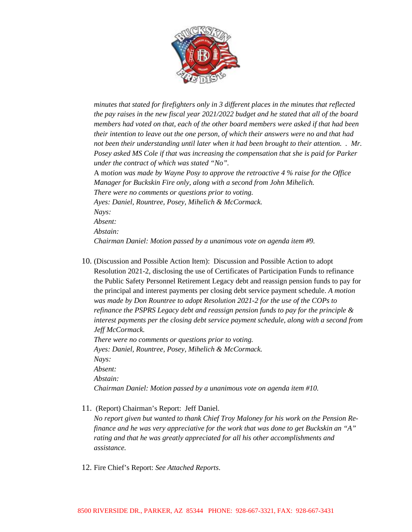

*minutes that stated for firefighters only in 3 different places in the minutes that reflected the pay raises in the new fiscal year 2021/2022 budget and he stated that all of the board members had voted on that, each of the other board members were asked if that had been their intention to leave out the one person, of which their answers were no and that had not been their understanding until later when it had been brought to their attention. . Mr. Posey asked MS Cole if that was increasing the compensation that she is paid for Parker under the contract of which was stated "No".* 

A m*otion was made by Wayne Posy to approve the retroactive 4 % raise for the Office Manager for Buckskin Fire only, along with a second from John Mihelich. There were no comments or questions prior to voting. Ayes: Daniel, Rountree, Posey, Mihelich & McCormack. Nays: Absent: Abstain: Chairman Daniel: Motion passed by a unanimous vote on agenda item #9.* 

10. (Discussion and Possible Action Item): Discussion and Possible Action to adopt Resolution 2021-2, disclosing the use of Certificates of Participation Funds to refinance the Public Safety Personnel Retirement Legacy debt and reassign pension funds to pay for the principal and interest payments per closing debt service payment schedule. *A motion was made by Don Rountree to adopt Resolution 2021-2 for the use of the COPs to refinance the PSPRS Legacy debt and reassign pension funds to pay for the principle & interest payments per the closing debt service payment schedule, along with a second from Jeff McCormack. There were no comments or questions prior to voting. Ayes: Daniel, Rountree, Posey, Mihelich & McCormack. Nays: Absent:*

*Abstain:*

*Chairman Daniel: Motion passed by a unanimous vote on agenda item #10.*

11. (Report) Chairman's Report: Jeff Daniel.

*No report given but wanted to thank Chief Troy Maloney for his work on the Pension Refinance and he was very appreciative for the work that was done to get Buckskin an "A" rating and that he was greatly appreciated for all his other accomplishments and assistance.*

12. Fire Chief's Report: *See Attached Reports*.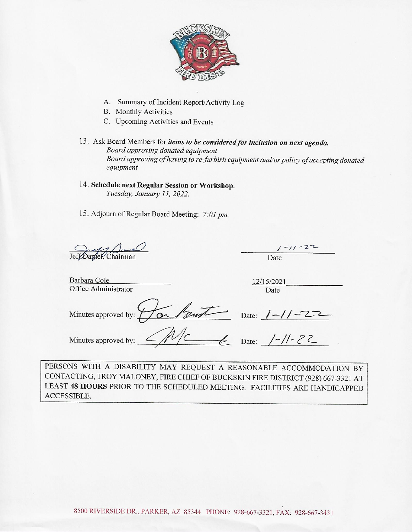

- A. Summary of Incident Report/Activity Log
- **B.** Monthly Activities
- C. Upcoming Activities and Events
- 13. Ask Board Members for items to be considered for inclusion on next agenda. Board approving donated equipment Board approving of having to re-furbish equipment and/or policy of accepting donated equipment
- 14. Schedule next Regular Session or Workshop. Tuesday, January 11, 2022.
- 15. Adjourn of Regular Board Meeting: 7:01 pm.

Jeff Dangle K, Chairman

Date

Barbara Cole Office Administrator

12/15/2021 Date

Harlowt Date: 1-11-22 Minutes approved by:

Minutes approved by:

PERSONS WITH A DISABILITY MAY REQUEST A REASONABLE ACCOMMODATION BY CONTACTING, TROY MALONEY, FIRE CHIEF OF BUCKSKIN FIRE DISTRICT (928) 667-3321 AT LEAST 48 HOURS PRIOR TO THE SCHEDULED MEETING. FACILITIES ARE HANDICAPPED ACCESSIBLE.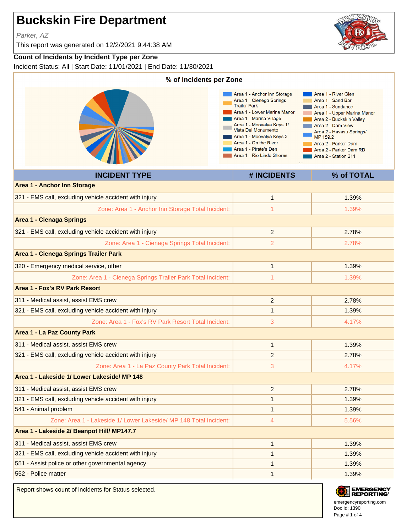# **Buckskin Fire Department**

Parker, AZ

This report was generated on 12/2/2021 9:44:38 AM

## **Count of Incidents by Incident Type per Zone**

Incident Status: All | Start Date: 11/01/2021 | End Date: 11/30/2021

| % of Incidents per Zone                                           |                                                                                                                                                                                                                                                                                                         |                                                                                                                                                                                                                                                                |  |  |
|-------------------------------------------------------------------|---------------------------------------------------------------------------------------------------------------------------------------------------------------------------------------------------------------------------------------------------------------------------------------------------------|----------------------------------------------------------------------------------------------------------------------------------------------------------------------------------------------------------------------------------------------------------------|--|--|
|                                                                   | Area 1 - Anchor Inn Storage<br>Area 1 - Cienega Springs<br><b>Trailer Park</b><br>Area 1 - Lower Marina Manor<br>Area 1 - Marina Village<br>Area 1 - Moovalya Keys 1/<br>Vista Del Monumento<br>Area 1 - Moovalya Keys 2<br>Area 1 - On the River<br>Area 1 - Pirate's Den<br>Area 1 - Rio Lindo Shores | Area 1 - River Glen<br>Area 1 - Sand Bar<br>Area 1 - Sundance<br>Area 1 - Upper Marina Manor<br>Area 2 - Buckskin Valley<br>Area 2 - Dam View<br>Area 2 - Havasu Springs/<br>MP 159.2<br>Area 2 - Parker Dam<br>Area 2 - Parker Dam RD<br>Area 2 - Station 211 |  |  |
| <b>INCIDENT TYPE</b>                                              | # INCIDENTS                                                                                                                                                                                                                                                                                             | % of TOTAL                                                                                                                                                                                                                                                     |  |  |
| <b>Area 1 - Anchor Inn Storage</b>                                |                                                                                                                                                                                                                                                                                                         |                                                                                                                                                                                                                                                                |  |  |
| 321 - EMS call, excluding vehicle accident with injury            | $\mathbf{1}$                                                                                                                                                                                                                                                                                            | 1.39%                                                                                                                                                                                                                                                          |  |  |
| Zone: Area 1 - Anchor Inn Storage Total Incident:                 | $\mathbf{1}$                                                                                                                                                                                                                                                                                            | 1.39%                                                                                                                                                                                                                                                          |  |  |
| <b>Area 1 - Cienaga Springs</b>                                   |                                                                                                                                                                                                                                                                                                         |                                                                                                                                                                                                                                                                |  |  |
| 321 - EMS call, excluding vehicle accident with injury            | $\overline{2}$                                                                                                                                                                                                                                                                                          | 2.78%                                                                                                                                                                                                                                                          |  |  |
| Zone: Area 1 - Cienaga Springs Total Incident:                    | $\overline{2}$                                                                                                                                                                                                                                                                                          | 2.78%                                                                                                                                                                                                                                                          |  |  |
| Area 1 - Cienega Springs Trailer Park                             |                                                                                                                                                                                                                                                                                                         |                                                                                                                                                                                                                                                                |  |  |
| 320 - Emergency medical service, other                            | $\mathbf{1}$                                                                                                                                                                                                                                                                                            | 1.39%                                                                                                                                                                                                                                                          |  |  |
| Zone: Area 1 - Cienega Springs Trailer Park Total Incident:       | $\mathbf{1}$                                                                                                                                                                                                                                                                                            | 1.39%                                                                                                                                                                                                                                                          |  |  |
| <b>Area 1 - Fox's RV Park Resort</b>                              |                                                                                                                                                                                                                                                                                                         |                                                                                                                                                                                                                                                                |  |  |
| 311 - Medical assist, assist EMS crew                             | $\overline{2}$                                                                                                                                                                                                                                                                                          | 2.78%                                                                                                                                                                                                                                                          |  |  |
| 321 - EMS call, excluding vehicle accident with injury            | $\mathbf{1}$                                                                                                                                                                                                                                                                                            | 1.39%                                                                                                                                                                                                                                                          |  |  |
| Zone: Area 1 - Fox's RV Park Resort Total Incident:               | 3                                                                                                                                                                                                                                                                                                       | 4.17%                                                                                                                                                                                                                                                          |  |  |
| <b>Area 1 - La Paz County Park</b>                                |                                                                                                                                                                                                                                                                                                         |                                                                                                                                                                                                                                                                |  |  |
| 311 - Medical assist, assist EMS crew                             | $\mathbf{1}$                                                                                                                                                                                                                                                                                            | 1.39%                                                                                                                                                                                                                                                          |  |  |
| 321 - EMS call, excluding vehicle accident with injury            | 2                                                                                                                                                                                                                                                                                                       | 2.78%                                                                                                                                                                                                                                                          |  |  |
| Zone: Area 1 - La Paz County Park Total Incident:                 | 3                                                                                                                                                                                                                                                                                                       | 4.17%                                                                                                                                                                                                                                                          |  |  |
| Area 1 - Lakeside 1/ Lower Lakeside/ MP 148                       |                                                                                                                                                                                                                                                                                                         |                                                                                                                                                                                                                                                                |  |  |
| 311 - Medical assist, assist EMS crew                             | $\overline{2}$                                                                                                                                                                                                                                                                                          | 2.78%                                                                                                                                                                                                                                                          |  |  |
| 321 - EMS call, excluding vehicle accident with injury            | $\mathbf{1}$                                                                                                                                                                                                                                                                                            | 1.39%                                                                                                                                                                                                                                                          |  |  |
| 541 - Animal problem                                              | $\mathbf{1}$                                                                                                                                                                                                                                                                                            | 1.39%                                                                                                                                                                                                                                                          |  |  |
| Zone: Area 1 - Lakeside 1/ Lower Lakeside/ MP 148 Total Incident: | 4                                                                                                                                                                                                                                                                                                       | 5.56%                                                                                                                                                                                                                                                          |  |  |
| Area 1 - Lakeside 2/ Beanpot Hill/ MP147.7                        |                                                                                                                                                                                                                                                                                                         |                                                                                                                                                                                                                                                                |  |  |
| 311 - Medical assist, assist EMS crew                             | $\mathbf{1}$                                                                                                                                                                                                                                                                                            | 1.39%                                                                                                                                                                                                                                                          |  |  |
| 321 - EMS call, excluding vehicle accident with injury            | $\mathbf{1}$                                                                                                                                                                                                                                                                                            | 1.39%                                                                                                                                                                                                                                                          |  |  |
| 551 - Assist police or other governmental agency                  | $\mathbf{1}$                                                                                                                                                                                                                                                                                            | 1.39%                                                                                                                                                                                                                                                          |  |  |
| 552 - Police matter                                               | $\mathbf{1}$                                                                                                                                                                                                                                                                                            | 1.39%                                                                                                                                                                                                                                                          |  |  |

Report shows count of incidents for Status selected.





Doc Id: 1390 emergencyreporting.com Page # 1 of 4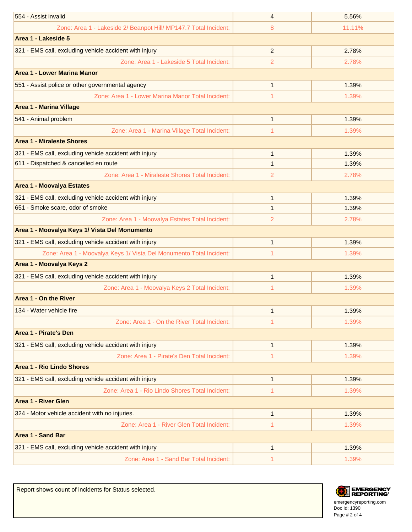| Zone: Area 1 - Lakeside 2/ Beanpot Hill/ MP147.7 Total Incident:<br>11.11%<br>8<br>Area 1 - Lakeside 5<br>321 - EMS call, excluding vehicle accident with injury<br>$\overline{2}$<br>2.78%<br>Zone: Area 1 - Lakeside 5 Total Incident:<br>$\overline{2}$<br>2.78%<br>Area 1 - Lower Marina Manor<br>551 - Assist police or other governmental agency<br>1<br>1.39%<br>Zone: Area 1 - Lower Marina Manor Total Incident:<br>1.39%<br>1<br><b>Area 1 - Marina Village</b><br>541 - Animal problem<br>$\mathbf{1}$<br>1.39%<br>Zone: Area 1 - Marina Village Total Incident:<br>1.39%<br>1<br><b>Area 1 - Miraleste Shores</b><br>321 - EMS call, excluding vehicle accident with injury<br>1.39%<br>$\mathbf{1}$<br>611 - Dispatched & cancelled en route<br>1.39%<br>1 | 554 - Assist invalid                            | 4 | 5.56% |  |  |
|-------------------------------------------------------------------------------------------------------------------------------------------------------------------------------------------------------------------------------------------------------------------------------------------------------------------------------------------------------------------------------------------------------------------------------------------------------------------------------------------------------------------------------------------------------------------------------------------------------------------------------------------------------------------------------------------------------------------------------------------------------------------------|-------------------------------------------------|---|-------|--|--|
|                                                                                                                                                                                                                                                                                                                                                                                                                                                                                                                                                                                                                                                                                                                                                                         |                                                 |   |       |  |  |
|                                                                                                                                                                                                                                                                                                                                                                                                                                                                                                                                                                                                                                                                                                                                                                         |                                                 |   |       |  |  |
|                                                                                                                                                                                                                                                                                                                                                                                                                                                                                                                                                                                                                                                                                                                                                                         |                                                 |   |       |  |  |
|                                                                                                                                                                                                                                                                                                                                                                                                                                                                                                                                                                                                                                                                                                                                                                         |                                                 |   |       |  |  |
|                                                                                                                                                                                                                                                                                                                                                                                                                                                                                                                                                                                                                                                                                                                                                                         |                                                 |   |       |  |  |
|                                                                                                                                                                                                                                                                                                                                                                                                                                                                                                                                                                                                                                                                                                                                                                         |                                                 |   |       |  |  |
|                                                                                                                                                                                                                                                                                                                                                                                                                                                                                                                                                                                                                                                                                                                                                                         |                                                 |   |       |  |  |
|                                                                                                                                                                                                                                                                                                                                                                                                                                                                                                                                                                                                                                                                                                                                                                         |                                                 |   |       |  |  |
|                                                                                                                                                                                                                                                                                                                                                                                                                                                                                                                                                                                                                                                                                                                                                                         |                                                 |   |       |  |  |
|                                                                                                                                                                                                                                                                                                                                                                                                                                                                                                                                                                                                                                                                                                                                                                         |                                                 |   |       |  |  |
|                                                                                                                                                                                                                                                                                                                                                                                                                                                                                                                                                                                                                                                                                                                                                                         |                                                 |   |       |  |  |
|                                                                                                                                                                                                                                                                                                                                                                                                                                                                                                                                                                                                                                                                                                                                                                         |                                                 |   |       |  |  |
|                                                                                                                                                                                                                                                                                                                                                                                                                                                                                                                                                                                                                                                                                                                                                                         |                                                 |   |       |  |  |
| 2<br>2.78%                                                                                                                                                                                                                                                                                                                                                                                                                                                                                                                                                                                                                                                                                                                                                              | Zone: Area 1 - Miraleste Shores Total Incident: |   |       |  |  |
| <b>Area 1 - Moovalya Estates</b>                                                                                                                                                                                                                                                                                                                                                                                                                                                                                                                                                                                                                                                                                                                                        |                                                 |   |       |  |  |
| 321 - EMS call, excluding vehicle accident with injury<br>$\mathbf{1}$<br>1.39%                                                                                                                                                                                                                                                                                                                                                                                                                                                                                                                                                                                                                                                                                         |                                                 |   |       |  |  |
| 651 - Smoke scare, odor of smoke<br>1<br>1.39%                                                                                                                                                                                                                                                                                                                                                                                                                                                                                                                                                                                                                                                                                                                          |                                                 |   |       |  |  |
| Zone: Area 1 - Moovalya Estates Total Incident:<br>2<br>2.78%                                                                                                                                                                                                                                                                                                                                                                                                                                                                                                                                                                                                                                                                                                           |                                                 |   |       |  |  |
| Area 1 - Moovalya Keys 1/ Vista Del Monumento                                                                                                                                                                                                                                                                                                                                                                                                                                                                                                                                                                                                                                                                                                                           |                                                 |   |       |  |  |
| 321 - EMS call, excluding vehicle accident with injury<br>1.39%<br>$\mathbf{1}$                                                                                                                                                                                                                                                                                                                                                                                                                                                                                                                                                                                                                                                                                         |                                                 |   |       |  |  |
| Zone: Area 1 - Moovalya Keys 1/ Vista Del Monumento Total Incident:<br>1<br>1.39%                                                                                                                                                                                                                                                                                                                                                                                                                                                                                                                                                                                                                                                                                       |                                                 |   |       |  |  |
| Area 1 - Moovalya Keys 2                                                                                                                                                                                                                                                                                                                                                                                                                                                                                                                                                                                                                                                                                                                                                |                                                 |   |       |  |  |
| 321 - EMS call, excluding vehicle accident with injury<br>$\mathbf{1}$<br>1.39%                                                                                                                                                                                                                                                                                                                                                                                                                                                                                                                                                                                                                                                                                         |                                                 |   |       |  |  |
| Zone: Area 1 - Moovalya Keys 2 Total Incident:<br>1<br>1.39%                                                                                                                                                                                                                                                                                                                                                                                                                                                                                                                                                                                                                                                                                                            |                                                 |   |       |  |  |
| Area 1 - On the River                                                                                                                                                                                                                                                                                                                                                                                                                                                                                                                                                                                                                                                                                                                                                   |                                                 |   |       |  |  |
| 134 - Water vehicle fire<br>1.39%<br>1                                                                                                                                                                                                                                                                                                                                                                                                                                                                                                                                                                                                                                                                                                                                  |                                                 |   |       |  |  |
| Zone: Area 1 - On the River Total Incident:<br>1.39%<br>1.                                                                                                                                                                                                                                                                                                                                                                                                                                                                                                                                                                                                                                                                                                              |                                                 |   |       |  |  |
| Area 1 - Pirate's Den                                                                                                                                                                                                                                                                                                                                                                                                                                                                                                                                                                                                                                                                                                                                                   |                                                 |   |       |  |  |
| 321 - EMS call, excluding vehicle accident with injury<br>1.39%<br>$\mathbf{1}$                                                                                                                                                                                                                                                                                                                                                                                                                                                                                                                                                                                                                                                                                         |                                                 |   |       |  |  |
| Zone: Area 1 - Pirate's Den Total Incident:<br>1.39%<br>1                                                                                                                                                                                                                                                                                                                                                                                                                                                                                                                                                                                                                                                                                                               |                                                 |   |       |  |  |
| <b>Area 1 - Rio Lindo Shores</b>                                                                                                                                                                                                                                                                                                                                                                                                                                                                                                                                                                                                                                                                                                                                        |                                                 |   |       |  |  |
| 321 - EMS call, excluding vehicle accident with injury<br>1.39%<br>$\mathbf{1}$                                                                                                                                                                                                                                                                                                                                                                                                                                                                                                                                                                                                                                                                                         |                                                 |   |       |  |  |
| Zone: Area 1 - Rio Lindo Shores Total Incident:<br>1.39%<br>1                                                                                                                                                                                                                                                                                                                                                                                                                                                                                                                                                                                                                                                                                                           |                                                 |   |       |  |  |
| <b>Area 1 - River Glen</b>                                                                                                                                                                                                                                                                                                                                                                                                                                                                                                                                                                                                                                                                                                                                              |                                                 |   |       |  |  |
| 324 - Motor vehicle accident with no injuries.<br>1.39%<br>1                                                                                                                                                                                                                                                                                                                                                                                                                                                                                                                                                                                                                                                                                                            |                                                 |   |       |  |  |
| Zone: Area 1 - River Glen Total Incident:<br>1.39%<br>1                                                                                                                                                                                                                                                                                                                                                                                                                                                                                                                                                                                                                                                                                                                 |                                                 |   |       |  |  |
| <b>Area 1 - Sand Bar</b>                                                                                                                                                                                                                                                                                                                                                                                                                                                                                                                                                                                                                                                                                                                                                |                                                 |   |       |  |  |
| 321 - EMS call, excluding vehicle accident with injury<br>1.39%<br>$\mathbf{1}$                                                                                                                                                                                                                                                                                                                                                                                                                                                                                                                                                                                                                                                                                         |                                                 |   |       |  |  |
| Zone: Area 1 - Sand Bar Total Incident:<br>1.39%<br>1                                                                                                                                                                                                                                                                                                                                                                                                                                                                                                                                                                                                                                                                                                                   |                                                 |   |       |  |  |

Report shows count of incidents for Status selected.



Doc Id: 1390 emergencyreporting.com Page # 2 of 4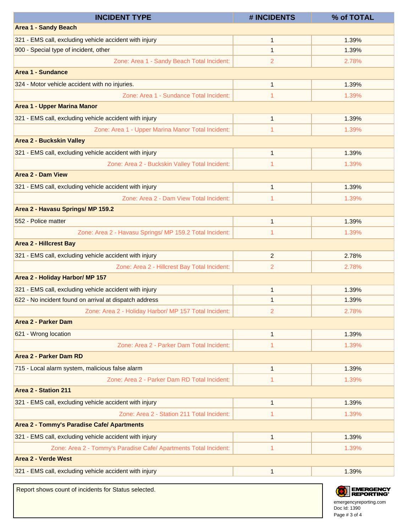| <b>INCIDENT TYPE</b>                                             | # INCIDENTS    | % of TOTAL |
|------------------------------------------------------------------|----------------|------------|
| <b>Area 1 - Sandy Beach</b>                                      |                |            |
| 321 - EMS call, excluding vehicle accident with injury           | $\mathbf{1}$   | 1.39%      |
| 900 - Special type of incident, other                            | $\mathbf{1}$   | 1.39%      |
| Zone: Area 1 - Sandy Beach Total Incident:                       | 2              | 2.78%      |
| <b>Area 1 - Sundance</b>                                         |                |            |
| 324 - Motor vehicle accident with no injuries.                   | $\mathbf{1}$   | 1.39%      |
| Zone: Area 1 - Sundance Total Incident:                          | 1              | 1.39%      |
| <b>Area 1 - Upper Marina Manor</b>                               |                |            |
| 321 - EMS call, excluding vehicle accident with injury           | $\mathbf{1}$   | 1.39%      |
| Zone: Area 1 - Upper Marina Manor Total Incident:                | 1              | 1.39%      |
| <b>Area 2 - Buckskin Valley</b>                                  |                |            |
| 321 - EMS call, excluding vehicle accident with injury           | $\mathbf{1}$   | 1.39%      |
| Zone: Area 2 - Buckskin Valley Total Incident:                   | 1              | 1.39%      |
| <b>Area 2 - Dam View</b>                                         |                |            |
| 321 - EMS call, excluding vehicle accident with injury           | $\mathbf{1}$   | 1.39%      |
| Zone: Area 2 - Dam View Total Incident:                          | 1              | 1.39%      |
| Area 2 - Havasu Springs/ MP 159.2                                |                |            |
| 552 - Police matter                                              | $\mathbf{1}$   | 1.39%      |
| Zone: Area 2 - Havasu Springs/ MP 159.2 Total Incident:          | 1              | 1.39%      |
| <b>Area 2 - Hillcrest Bay</b>                                    |                |            |
| 321 - EMS call, excluding vehicle accident with injury           | $\overline{2}$ | 2.78%      |
| Zone: Area 2 - Hillcrest Bay Total Incident:                     | 2              | 2.78%      |
| Area 2 - Holiday Harbor/ MP 157                                  |                |            |
| 321 - EMS call, excluding vehicle accident with injury           | $\mathbf{1}$   | 1.39%      |
| 622 - No incident found on arrival at dispatch address           | $\mathbf{1}$   | 1.39%      |
| Zone: Area 2 - Holiday Harbor/ MP 157 Total Incident:            | 2              | 2.78%      |
| <b>Area 2 - Parker Dam</b>                                       |                |            |
| 621 - Wrong location                                             | $\mathbf{1}$   | 1.39%      |
| Zone: Area 2 - Parker Dam Total Incident:                        | 1              | 1.39%      |
| <b>Area 2 - Parker Dam RD</b>                                    |                |            |
| 715 - Local alarm system, malicious false alarm                  | $\mathbf{1}$   | 1.39%      |
| Zone: Area 2 - Parker Dam RD Total Incident:                     | 1              | 1.39%      |
| Area 2 - Station 211                                             |                |            |
| 321 - EMS call, excluding vehicle accident with injury           | $\mathbf{1}$   | 1.39%      |
| Zone: Area 2 - Station 211 Total Incident:                       | 1              | 1.39%      |
| Area 2 - Tommy's Paradise Cafe/ Apartments                       |                |            |
| 321 - EMS call, excluding vehicle accident with injury           | $\mathbf{1}$   | 1.39%      |
| Zone: Area 2 - Tommy's Paradise Cafe/ Apartments Total Incident: | 1              | 1.39%      |
| <b>Area 2 - Verde West</b>                                       |                |            |
| 321 - EMS call, excluding vehicle accident with injury           | $\mathbf{1}$   | 1.39%      |
|                                                                  |                |            |

Report shows count of incidents for Status selected.



Doc Id: 1390 emergencyreporting.com Page # 3 of 4